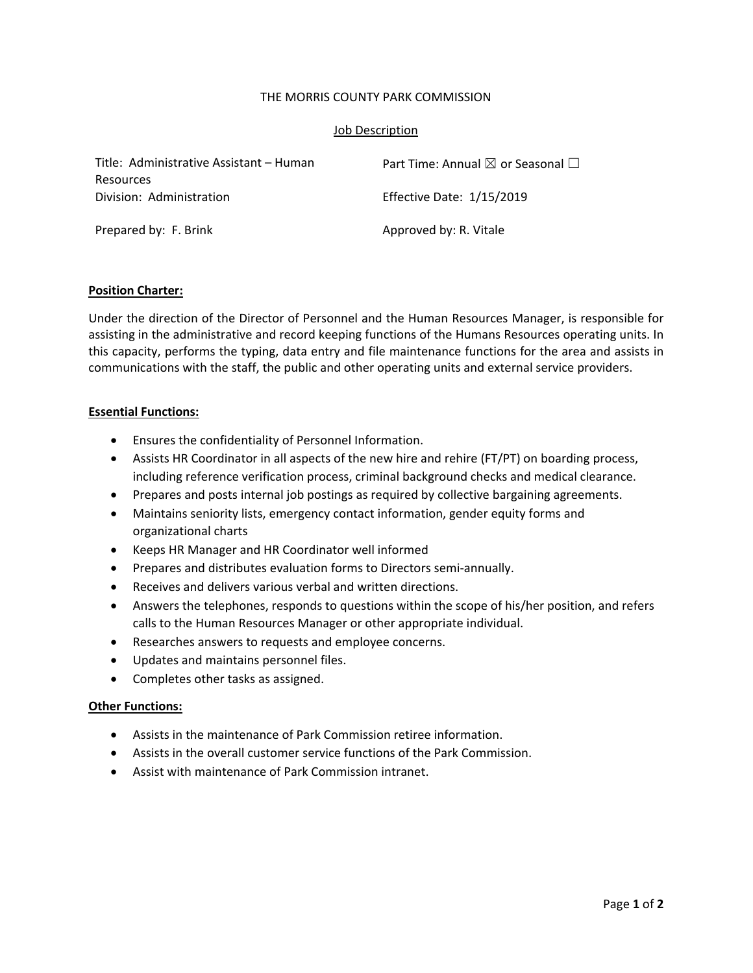### THE MORRIS COUNTY PARK COMMISSION

### Job Description

| Title: Administrative Assistant – Human | Part Time: Annual $\boxtimes$ or Seasonal $\Box$ |
|-----------------------------------------|--------------------------------------------------|
| Resources                               |                                                  |
| Division: Administration                | <b>Effective Date: 1/15/2019</b>                 |
| Prepared by: F. Brink                   | Approved by: R. Vitale                           |

### **Position Charter:**

Under the direction of the Director of Personnel and the Human Resources Manager, is responsible for assisting in the administrative and record keeping functions of the Humans Resources operating units. In this capacity, performs the typing, data entry and file maintenance functions for the area and assists in communications with the staff, the public and other operating units and external service providers.

## **Essential Functions:**

- Ensures the confidentiality of Personnel Information.
- Assists HR Coordinator in all aspects of the new hire and rehire (FT/PT) on boarding process, including reference verification process, criminal background checks and medical clearance.
- Prepares and posts internal job postings as required by collective bargaining agreements.
- Maintains seniority lists, emergency contact information, gender equity forms and organizational charts
- Keeps HR Manager and HR Coordinator well informed
- Prepares and distributes evaluation forms to Directors semi-annually.
- Receives and delivers various verbal and written directions.
- Answers the telephones, responds to questions within the scope of his/her position, and refers calls to the Human Resources Manager or other appropriate individual.
- Researches answers to requests and employee concerns.
- Updates and maintains personnel files.
- Completes other tasks as assigned.

### **Other Functions:**

- Assists in the maintenance of Park Commission retiree information.
- Assists in the overall customer service functions of the Park Commission.
- Assist with maintenance of Park Commission intranet.